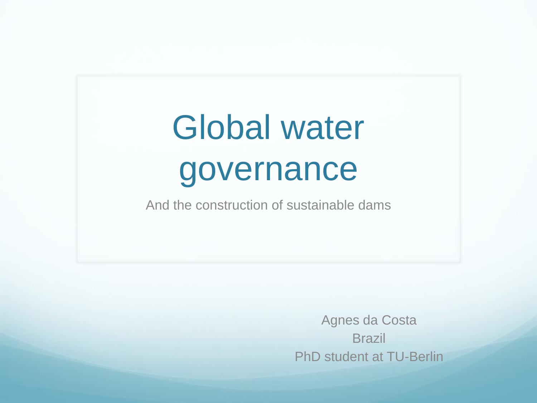## Global water governance

And the construction of sustainable dams

Agnes da Costa **Brazil** PhD student at TU-Berlin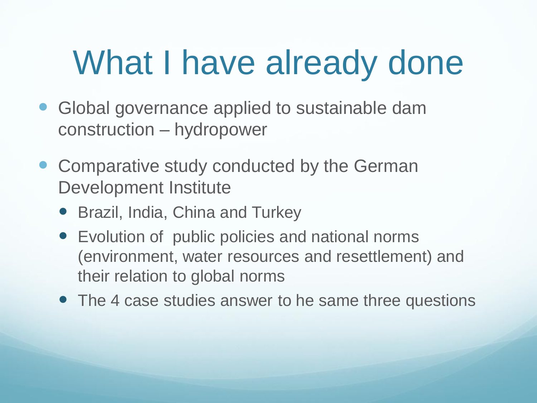## What I have already done

- Global governance applied to sustainable dam construction – hydropower
- Comparative study conducted by the German Development Institute
	- Brazil, India, China and Turkey
	- Evolution of public policies and national norms (environment, water resources and resettlement) and their relation to global norms
	- The 4 case studies answer to he same three questions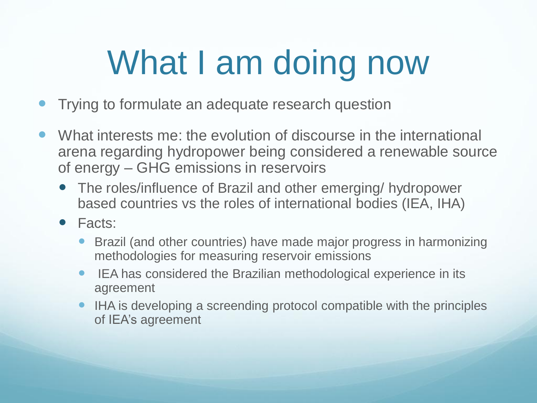## What I am doing now

- Trying to formulate an adequate research question
- What interests me: the evolution of discourse in the international arena regarding hydropower being considered a renewable source of energy – GHG emissions in reservoirs
	- The roles/influence of Brazil and other emerging/ hydropower based countries vs the roles of international bodies (IEA, IHA)
	- Facts:
		- Brazil (and other countries) have made major progress in harmonizing methodologies for measuring reservoir emissions
		- IEA has considered the Brazilian methodological experience in its agreement
		- IHA is developing a screending protocol compatible with the principles of IEA's agreement